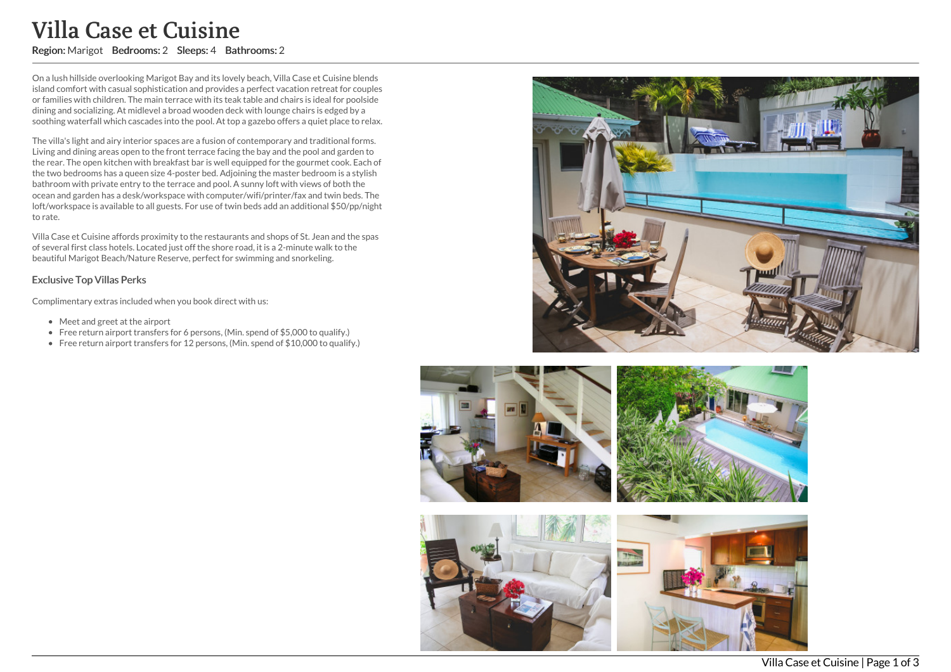## Villa Case et Cuisine

## Region: Marigot Bedrooms: 2 Sleeps: 4 Bathrooms: 2

On a lush hillside overlooking Marigot Bay and its lovely beach, Villa Case et Cuisine blends island comfort with casual sophistication and provides a perfect vacation retreat for couples or families with children. The main terrace with its teak table and chairs is ideal for poolside dining and socializing. At midlevel a broad wooden deck with lounge chairs is edged by a soothing waterfall which cascades into the pool. At top a gazebo offers a quiet place to relax.

The villa's light and airy interior spaces are a fusion of contemporary and traditional forms. Living and dining areas open to the front terrace facing the bay and the pool and garden to the rear. The open kitchen with breakfast bar is well equipped for the gourmet cook. Each of the two bedrooms has a queen size 4-poster bed. Adjoining the master bedroom is a stylish bathroom with private entry to the terrace and pool. A sunny loft with views of both the ocean and garden has a desk/workspace with computer/wifi/printer/fax and twin beds. The loft/workspace is available to all guests. For use of twin beds add an additional \$50/pp/night to rate.

Villa Case et Cuisine affords proximity to the restaurants and shops of St. Jean and the spas of several first class hotels. Located just off the shore road, it is a 2-minute walk to the beautiful Marigot Beach/Nature Reserve, perfect for swimming and snorkeling.

## Exclusive Top Villas Perks

Complimentary extras included when you book direct with us:

- Meet and greet at the airport
- Free return airport transfers for 6 persons, (Min. spend of \$5,000 to qualify.)
- Free return airport transfers for 12 persons, (Min. spend of \$10,000 to qualify.)



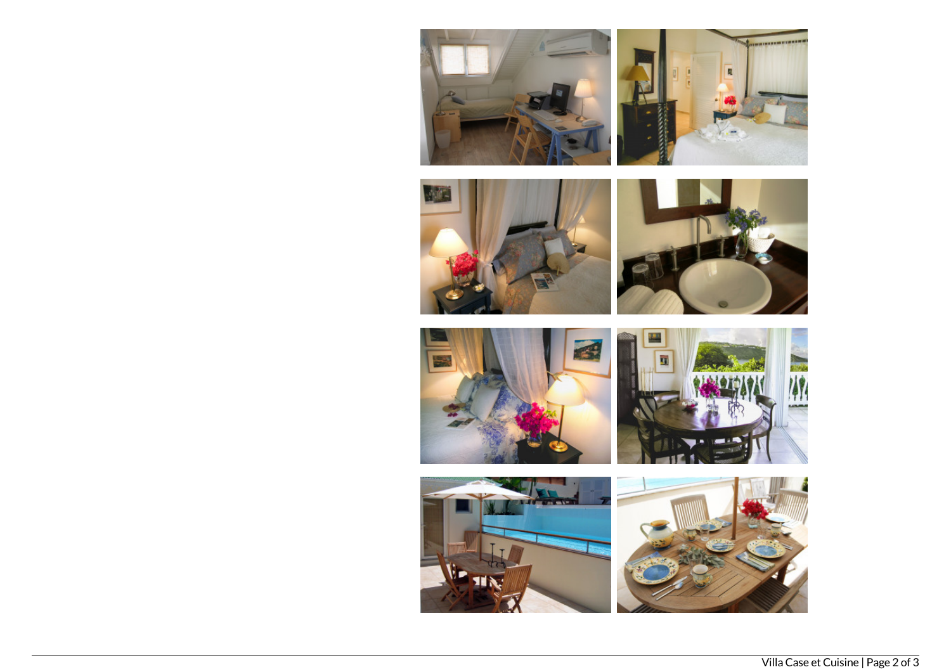